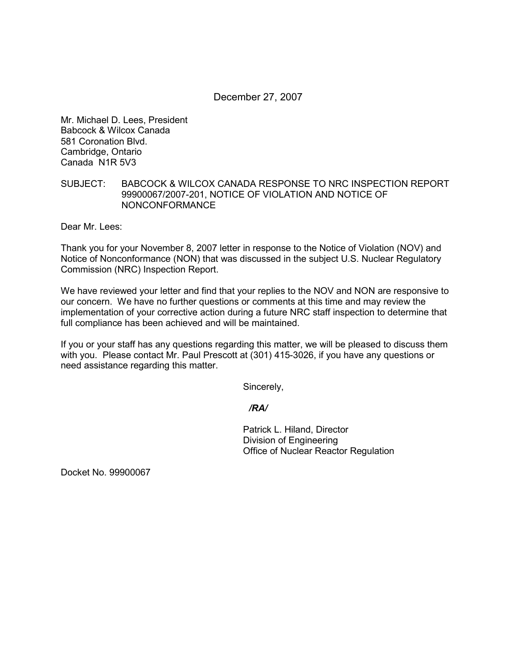## December 27, 2007

Mr. Michael D. Lees, President Babcock & Wilcox Canada 581 Coronation Blvd. Cambridge, Ontario Canada N1R 5V3

## SUBJECT: BABCOCK & WILCOX CANADA RESPONSE TO NRC INSPECTION REPORT 99900067/2007-201, NOTICE OF VIOLATION AND NOTICE OF NONCONFORMANCE

Dear Mr. Lees:

Thank you for your November 8, 2007 letter in response to the Notice of Violation (NOV) and Notice of Nonconformance (NON) that was discussed in the subject U.S. Nuclear Regulatory Commission (NRC) Inspection Report.

We have reviewed your letter and find that your replies to the NOV and NON are responsive to our concern. We have no further questions or comments at this time and may review the implementation of your corrective action during a future NRC staff inspection to determine that full compliance has been achieved and will be maintained.

If you or your staff has any questions regarding this matter, we will be pleased to discuss them with you. Please contact Mr. Paul Prescott at (301) 415-3026, if you have any questions or need assistance regarding this matter.

Sincerely,

*/RA/* 

Patrick L. Hiland, Director Division of Engineering Office of Nuclear Reactor Regulation

Docket No. 99900067